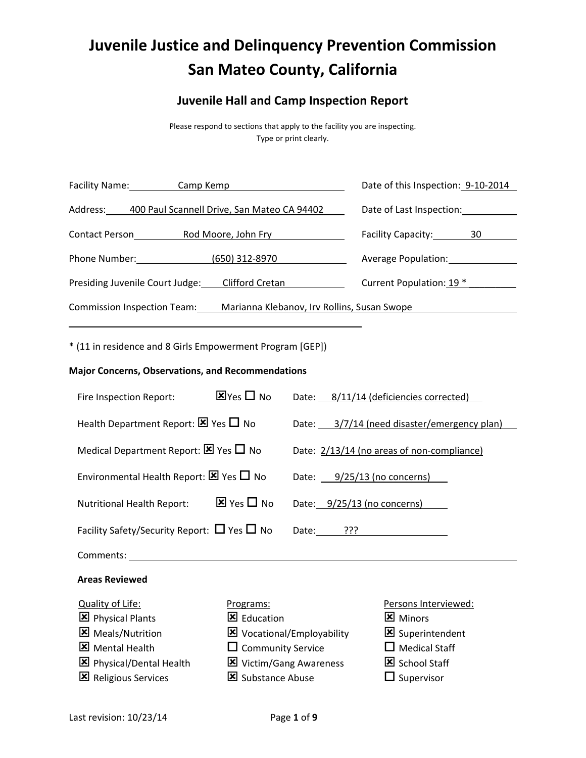# **Juvenile Justice and Delinquency Prevention Commission San Mateo County, California**

# **Juvenile Hall and Camp Inspection Report**

Please respond to sections that apply to the facility you are inspecting. Type or print clearly.

| Facility Name:<br>Camp Kemp                                                       | Date of this Inspection: 9-10-2014 |  |
|-----------------------------------------------------------------------------------|------------------------------------|--|
| Address:<br>400 Paul Scannell Drive, San Mateo CA 94402                           | Date of Last Inspection:           |  |
| <b>Contact Person</b><br>Rod Moore, John Fry                                      | Facility Capacity: 30              |  |
| Phone Number: North School<br>(650) 312-8970                                      | <b>Average Population:</b>         |  |
| Presiding Juvenile Court Judge: Clifford Cretan                                   | Current Population: 19 *           |  |
| <b>Commission Inspection Team:</b><br>Marianna Klebanov, Irv Rollins, Susan Swope |                                    |  |
|                                                                                   |                                    |  |

\* (11 in residence and 8 Girls Empowerment Program [GEP])

#### **Major Concerns, Observations, and Recommendations**

| Fire Inspection Report:                                | $\mathbf{Z}$ Yes $\Box$ No            |       | Date: 8/11/14 (deficiencies corrected)      |
|--------------------------------------------------------|---------------------------------------|-------|---------------------------------------------|
| Health Department Report: $\boxtimes$ Yes $\Box$ No    |                                       |       | Date: 3/7/14 (need disaster/emergency plan) |
| Medical Department Report: $\boxtimes$ Yes $\Box$ No   |                                       |       | Date: 2/13/14 (no areas of non-compliance)  |
| Environmental Health Report: $\boxtimes$ Yes $\Box$ No |                                       |       | Date: $9/25/13$ (no concerns)               |
| <b>Nutritional Health Report:</b>                      | $\overline{\mathbf{x}}$ Yes $\Box$ No |       | Date: 9/25/13 (no concerns)                 |
| Facility Safety/Security Report: $\Box$ Yes $\Box$ No  |                                       | Date: | ַרְרְי                                      |
|                                                        |                                       |       |                                             |

Comments:

## **Areas Reviewed**

#### Quality of Life:

- **E** Physical Plants **X** Meals/Nutrition **Mental Health**
- **E** Physical/Dental Health
- **E** Religious Services

#### Programs:

- 区 Education
- Vocational/Employability
- $\square$  Community Service
- **X** Victim/Gang Awareness
- Substance Abuse

#### Persons Interviewed:

- **Minors**
- Superintendent
- $\square$  Medical Staff
- School Staff
- $\square$  Supervisor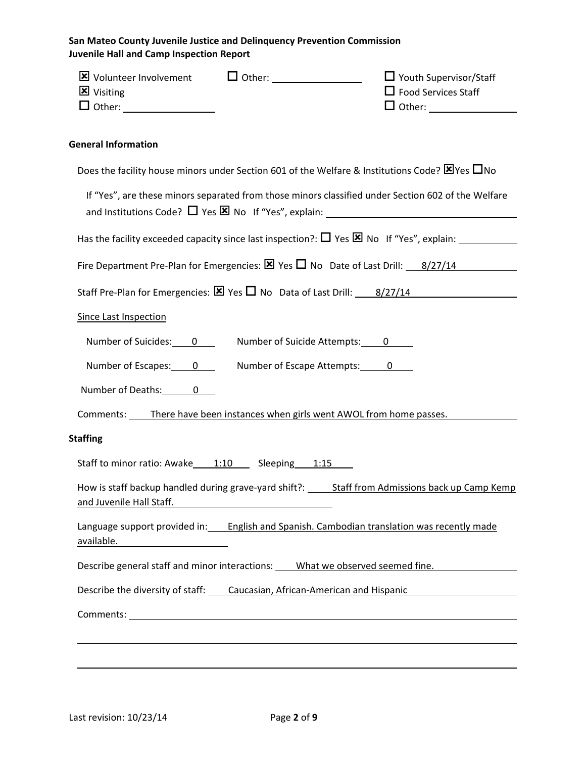| <b>区</b> Visiting                                                         | $\Box$ Youth Supervisor/Staff<br>$\Box$ Food Services Staff                                                    |
|---------------------------------------------------------------------------|----------------------------------------------------------------------------------------------------------------|
| <b>General Information</b>                                                |                                                                                                                |
|                                                                           | Does the facility house minors under Section 601 of the Welfare & Institutions Code? $\boxtimes$ Yes $\Box$ No |
|                                                                           | If "Yes", are these minors separated from those minors classified under Section 602 of the Welfare             |
|                                                                           |                                                                                                                |
|                                                                           | Fire Department Pre-Plan for Emergencies: $\boxtimes$ Yes $\square$ No Date of Last Drill: $\qquad 8/27/14$    |
|                                                                           | Staff Pre-Plan for Emergencies: $\boxtimes$ Yes $\square$ No Data of Last Drill: $\qquad 8/27/14$              |
| <b>Since Last Inspection</b>                                              |                                                                                                                |
| Number of Suicides: 0 _______ Number of Suicide Attempts: 0               |                                                                                                                |
| Number of Escapes: 0 Number of Escape Attempts: 0                         |                                                                                                                |
| Number of Deaths: 0                                                       |                                                                                                                |
|                                                                           | Comments: There have been instances when girls went AWOL from home passes.                                     |
| <b>Staffing</b>                                                           |                                                                                                                |
| Staff to minor ratio: Awake 1:10 Sleeping 1:15                            |                                                                                                                |
| and Juvenile Hall Staff.                                                  | How is staff backup handled during grave-yard shift?: _____ Staff from Admissions back up Camp Kemp            |
| available. Manuscriptus available.                                        | Language support provided in: English and Spanish. Cambodian translation was recently made                     |
|                                                                           | Describe general staff and minor interactions: What we observed seemed fine.                                   |
| Describe the diversity of staff: Caucasian, African-American and Hispanic |                                                                                                                |
|                                                                           |                                                                                                                |
|                                                                           |                                                                                                                |
|                                                                           |                                                                                                                |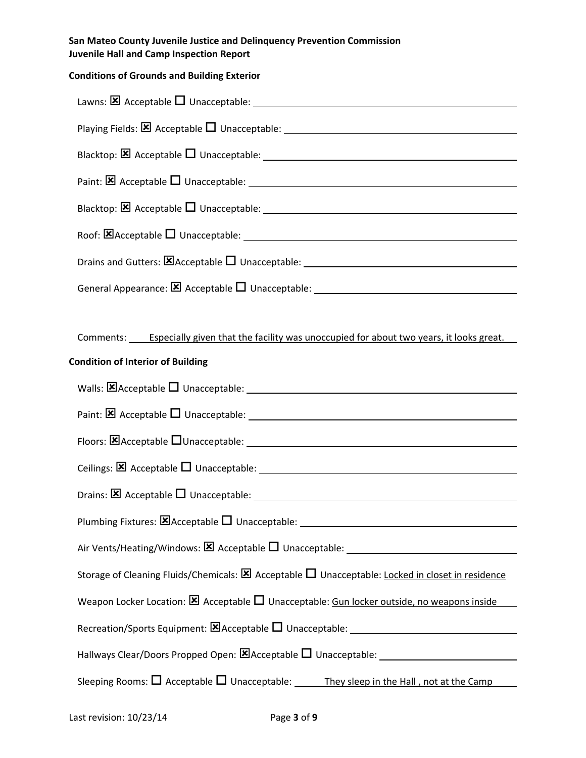# **Conditions of Grounds and Building Exterior**

| Comments: Especially given that the facility was unoccupied for about two years, it looks great.                |
|-----------------------------------------------------------------------------------------------------------------|
| <b>Condition of Interior of Building</b>                                                                        |
|                                                                                                                 |
|                                                                                                                 |
|                                                                                                                 |
|                                                                                                                 |
|                                                                                                                 |
| Plumbing Fixtures: <b>区</b> Acceptable □ Unacceptable: _________________________________                        |
|                                                                                                                 |
| Storage of Cleaning Fluids/Chemicals: $\boxtimes$ Acceptable $\Box$ Unacceptable: Locked in closet in residence |
| Weapon Locker Location: $\boxtimes$ Acceptable $\square$ Unacceptable: Gun locker outside, no weapons inside    |
|                                                                                                                 |
|                                                                                                                 |
| Sleeping Rooms: $\Box$ Acceptable $\Box$ Unacceptable: _______They sleep in the Hall, not at the Camp_          |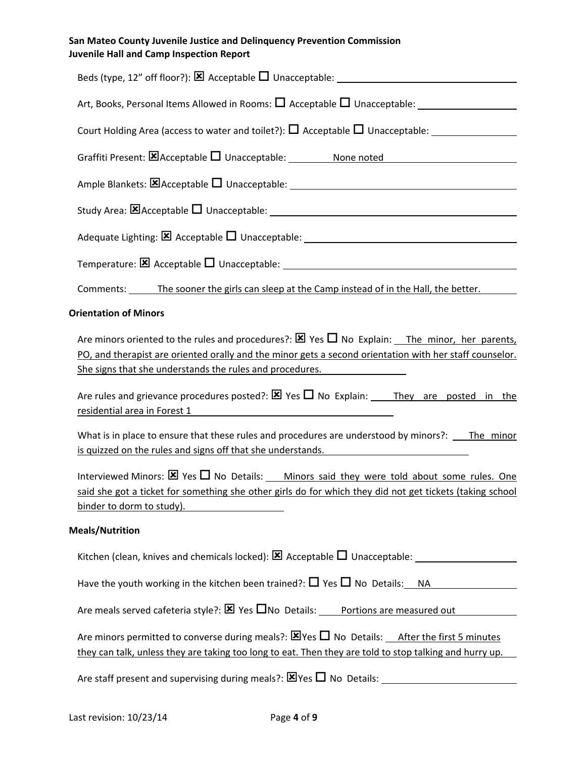| crine rian and camp mopecuon nep                                                                                                                                                                                                                                                                                                                                                                |
|-------------------------------------------------------------------------------------------------------------------------------------------------------------------------------------------------------------------------------------------------------------------------------------------------------------------------------------------------------------------------------------------------|
|                                                                                                                                                                                                                                                                                                                                                                                                 |
|                                                                                                                                                                                                                                                                                                                                                                                                 |
|                                                                                                                                                                                                                                                                                                                                                                                                 |
|                                                                                                                                                                                                                                                                                                                                                                                                 |
|                                                                                                                                                                                                                                                                                                                                                                                                 |
|                                                                                                                                                                                                                                                                                                                                                                                                 |
|                                                                                                                                                                                                                                                                                                                                                                                                 |
|                                                                                                                                                                                                                                                                                                                                                                                                 |
| Comments: The sooner the girls can sleep at the Camp instead of in the Hall, the better.                                                                                                                                                                                                                                                                                                        |
| <b>Orientation of Minors</b>                                                                                                                                                                                                                                                                                                                                                                    |
| Are minors oriented to the rules and procedures?: $\boxtimes$ Yes $\square$ No Explain: The minor, her parents,<br>PO, and therapist are oriented orally and the minor gets a second orientation with her staff counselor.<br>She signs that she understands the rules and procedures.<br>Are rules and grievance procedures posted?: $\boxtimes$ Yes $\Box$ No Explain: They are posted in the |
| residential area in Forest 1 and the contract of the contract of the contract of the contract of the contract o<br>What is in place to ensure that these rules and procedures are understood by minors?: The minor<br>is quizzed on the rules and signs off that she understands.                                                                                                               |
| Interviewed Minors: $\boxtimes$ Yes $\Box$ No Details: Minors said they were told about some rules. One<br>said she got a ticket for something she other girls do for which they did not get tickets (taking school<br>binder to dorm to study).                                                                                                                                                |
| <b>Meals/Nutrition</b>                                                                                                                                                                                                                                                                                                                                                                          |
|                                                                                                                                                                                                                                                                                                                                                                                                 |
| Have the youth working in the kitchen been trained?: $\square$ Yes $\square$ No Details: NA                                                                                                                                                                                                                                                                                                     |
| Are meals served cafeteria style?: $\boxtimes$ Yes $\square$ No Details: Portions are measured out                                                                                                                                                                                                                                                                                              |

Are minors permitted to converse during meals?:  $\boxtimes$  Yes  $\Box$  No Details: After the first 5 minutes they can talk, unless they are taking too long to eat. Then they are told to stop talking and hurry up.

Are staff present and supervising during meals?: Yes No Details: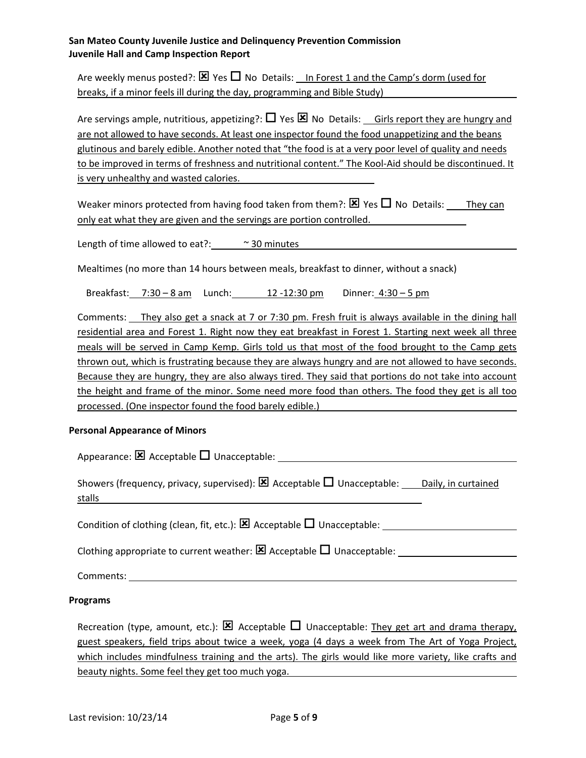Are weekly menus posted?:  $\boxtimes$  Yes  $\Box$  No Details: In Forest 1 and the Camp's dorm (used for breaks, if a minor feels ill during the day, programming and Bible Study)

Are servings ample, nutritious, appetizing?:  $\Box$  Yes  $\boxtimes$  No Details: Girls report they are hungry and are not allowed to have seconds. At least one inspector found the food unappetizing and the beans glutinous and barely edible. Another noted that "the food is at a very poor level of quality and needs to be improved in terms of freshness and nutritional content." The Kool‐Aid should be discontinued. It is very unhealthy and wasted calories.

Weaker minors protected from having food taken from them?:  $\boxtimes$  Yes  $\Box$  No Details: They can only eat what they are given and the servings are portion controlled.

Length of time allowed to eat?:  $\sim$  30 minutes

Mealtimes (no more than 14 hours between meals, breakfast to dinner, without a snack)

Breakfast: 7:30 – 8 am Lunch: 12 -12:30 pm Dinner: 4:30 – 5 pm

Comments: They also get a snack at 7 or 7:30 pm. Fresh fruit is always available in the dining hall residential area and Forest 1. Right now they eat breakfast in Forest 1. Starting next week all three meals will be served in Camp Kemp. Girls told us that most of the food brought to the Camp gets thrown out, which is frustrating because they are always hungry and are not allowed to have seconds. Because they are hungry, they are also always tired. They said that portions do not take into account the height and frame of the minor. Some need more food than others. The food they get is all too processed. (One inspector found the food barely edible.)

#### **Personal Appearance of Minors**

| Appearance: $\boxtimes$ Acceptable $\square$ Unacceptable:                                                                           |
|--------------------------------------------------------------------------------------------------------------------------------------|
| Showers (frequency, privacy, supervised): $\boxtimes$ Acceptable $\square$ Unacceptable: Daily, in curtained<br>stalls               |
| Condition of clothing (clean, fit, etc.): $\boxtimes$ Acceptable $\square$ Unacceptable:                                             |
| Clothing appropriate to current weather: $\boxtimes$ Acceptable $\square$ Unacceptable:                                              |
| Comments:<br><u> 1980 - Jan Samuel Barbara, martin a shekara tsara 1980 - An tsara 1980 - An tsara 1980 - An tsara 1980 - An tsa</u> |

#### **Programs**

Recreation (type, amount, etc.):  $\boxtimes$  Acceptable  $\Box$  Unacceptable: They get art and drama therapy, guest speakers, field trips about twice a week, yoga (4 days a week from The Art of Yoga Project, which includes mindfulness training and the arts). The girls would like more variety, like crafts and beauty nights. Some feel they get too much yoga.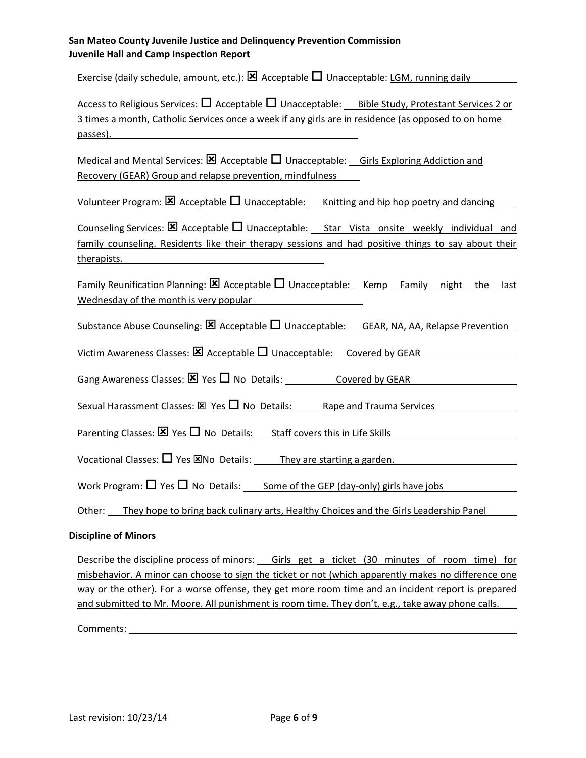Exercise (daily schedule, amount, etc.):  $\boxtimes$  Acceptable  $\Box$  Unacceptable: LGM, running daily

Access to Religious Services:  $\Box$  Acceptable  $\Box$  Unacceptable: Bible Study, Protestant Services 2 or 3 times a month, Catholic Services once a week if any girls are in residence (as opposed to on home passes).

Medical and Mental Services:  $\boxtimes$  Acceptable  $\Box$  Unacceptable: Girls Exploring Addiction and Recovery (GEAR) Group and relapse prevention, mindfulness

Volunteer Program:  $\boxtimes$  Acceptable  $\Box$  Unacceptable: Knitting and hip hop poetry and dancing

Counseling Services:  $\boxtimes$  Acceptable  $\Box$  Unacceptable: Star Vista onsite weekly individual and family counseling. Residents like their therapy sessions and had positive things to say about their therapists.

Family Reunification Planning:  $\boxtimes$  Acceptable  $\Box$  Unacceptable: Kemp Family night the last Wednesday of the month is very popular

Substance Abuse Counseling:  $\boxtimes$  Acceptable  $\Box$  Unacceptable: GEAR, NA, AA, Relapse Prevention

Victim Awareness Classes:  $\boxtimes$  Acceptable  $\Box$  Unacceptable: Covered by GEAR

Gang Awareness Classes:  $\boxtimes$  Yes  $\Box$  No Details: Covered by GEAR

Sexual Harassment Classes:  $\boxtimes$  Yes  $\Box$  No Details: Rape and Trauma Services

Parenting Classes:  $\times$  Yes  $\Box$  No Details: Staff covers this in Life Skills

Vocational Classes:  $\Box$  Yes  $\boxtimes$ No Details: They are starting a garden.

Work Program:  $\Box$  Yes  $\Box$  No Details: Some of the GEP (day-only) girls have jobs

Other: They hope to bring back culinary arts, Healthy Choices and the Girls Leadership Panel

#### **Discipline of Minors**

Describe the discipline process of minors: Girls get a ticket (30 minutes of room time) for misbehavior. A minor can choose to sign the ticket or not (which apparently makes no difference one way or the other). For a worse offense, they get more room time and an incident report is prepared and submitted to Mr. Moore. All punishment is room time. They don't, e.g., take away phone calls.

Comments: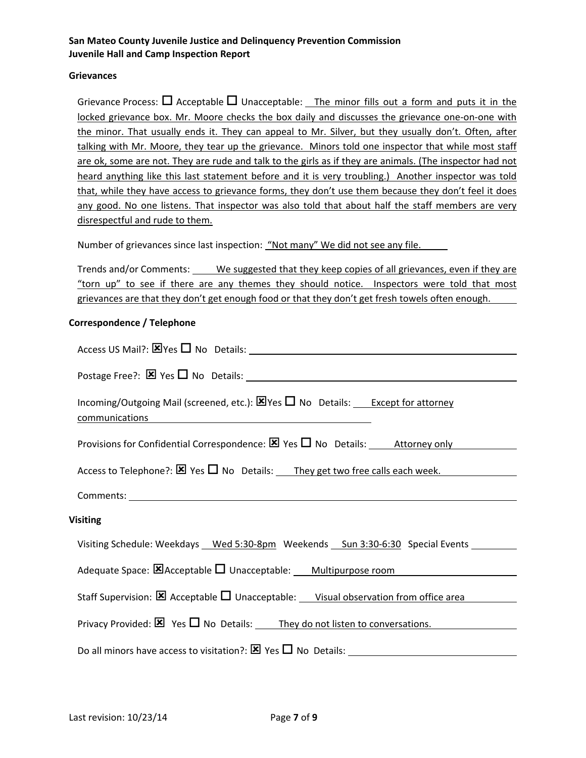#### **Grievances**

Grievance Process:  $\Box$  Acceptable  $\Box$  Unacceptable: The minor fills out a form and puts it in the locked grievance box. Mr. Moore checks the box daily and discusses the grievance one‐on‐one with the minor. That usually ends it. They can appeal to Mr. Silver, but they usually don't. Often, after talking with Mr. Moore, they tear up the grievance. Minors told one inspector that while most staff are ok, some are not. They are rude and talk to the girls as if they are animals. (The inspector had not heard anything like this last statement before and it is very troubling.) Another inspector was told that, while they have access to grievance forms, they don't use them because they don't feel it does any good. No one listens. That inspector was also told that about half the staff members are very disrespectful and rude to them.

Number of grievances since last inspection: "Not many" We did not see any file.

Trends and/or Comments: We suggested that they keep copies of all grievances, even if they are "torn up" to see if there are any themes they should notice. Inspectors were told that most grievances are that they don't get enough food or that they don't get fresh towels often enough.

#### **Correspondence / Telephone**

| Incoming/Outgoing Mail (screened, etc.): $\boxtimes$ Yes $\square$ No Details: Except for attorney<br>communications<br><u> 1980 - Jan Samuel Barbara, martin da shekara 1980 - An tsa a tsa a tsa a tsa a tsa a tsa a tsa a tsa a tsa a</u> |  |  |
|----------------------------------------------------------------------------------------------------------------------------------------------------------------------------------------------------------------------------------------------|--|--|
| Provisions for Confidential Correspondence: $\boxtimes$ Yes $\square$ No Details: Attorney only                                                                                                                                              |  |  |
| Access to Telephone?: $\boxtimes$ Yes $\square$ No Details: They get two free calls each week.                                                                                                                                               |  |  |
|                                                                                                                                                                                                                                              |  |  |
| <b>Visiting</b>                                                                                                                                                                                                                              |  |  |
| Visiting Schedule: Weekdays __ Wed 5:30-8pm Weekends __ Sun 3:30-6:30 Special Events __                                                                                                                                                      |  |  |
| Adequate Space: E Acceptable U Unacceptable: Multipurpose room                                                                                                                                                                               |  |  |
| Staff Supervision: $\boxtimes$ Acceptable $\square$ Unacceptable: Visual observation from office area                                                                                                                                        |  |  |
| Privacy Provided: $\boxtimes$ Yes $\square$ No Details: They do not listen to conversations.                                                                                                                                                 |  |  |
| Do all minors have access to visitation?: $\boxtimes$ Yes $\square$ No Details:                                                                                                                                                              |  |  |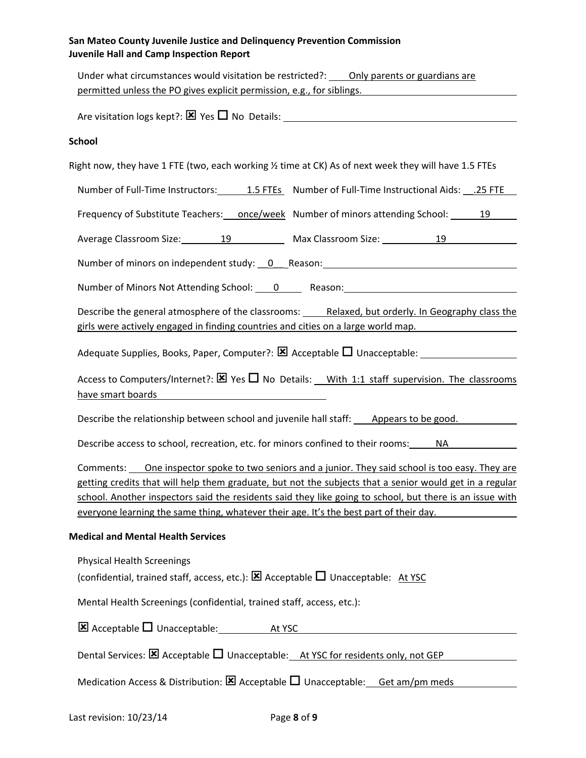| Under what circumstances would visitation be restricted?: ____ Only parents or guardians are<br>permitted unless the PO gives explicit permission, e.g., for siblings.                                                                                                                                                                                                                                             |  |
|--------------------------------------------------------------------------------------------------------------------------------------------------------------------------------------------------------------------------------------------------------------------------------------------------------------------------------------------------------------------------------------------------------------------|--|
|                                                                                                                                                                                                                                                                                                                                                                                                                    |  |
| <b>School</b>                                                                                                                                                                                                                                                                                                                                                                                                      |  |
|                                                                                                                                                                                                                                                                                                                                                                                                                    |  |
| Right now, they have 1 FTE (two, each working 1/2 time at CK) As of next week they will have 1.5 FTEs                                                                                                                                                                                                                                                                                                              |  |
| Number of Full-Time Instructors: 1.5 FTEs Number of Full-Time Instructional Aids: 1.25 FTE                                                                                                                                                                                                                                                                                                                         |  |
| Frequency of Substitute Teachers: _____once/week Number of minors attending School: ________19                                                                                                                                                                                                                                                                                                                     |  |
| Average Classroom Size: 19 19 Max Classroom Size: 19 19                                                                                                                                                                                                                                                                                                                                                            |  |
| Number of minors on independent study: 0 Reason: Manual Community of minors on independent study:                                                                                                                                                                                                                                                                                                                  |  |
| Number of Minors Not Attending School: 0 ______ Reason: ________________________                                                                                                                                                                                                                                                                                                                                   |  |
| Describe the general atmosphere of the classrooms: Relaxed, but orderly. In Geography class the<br>girls were actively engaged in finding countries and cities on a large world map.                                                                                                                                                                                                                               |  |
|                                                                                                                                                                                                                                                                                                                                                                                                                    |  |
| Access to Computers/Internet?: $\boxtimes$ Yes $\Box$ No Details: With 1:1 staff supervision. The classrooms<br>have smart boards and a state of the state of the state of the state of the state of the state of the state of                                                                                                                                                                                     |  |
| Describe the relationship between school and juvenile hall staff: Appears to be good.                                                                                                                                                                                                                                                                                                                              |  |
| Describe access to school, recreation, etc. for minors confined to their rooms: NA                                                                                                                                                                                                                                                                                                                                 |  |
| Comments: One inspector spoke to two seniors and a junior. They said school is too easy. They are<br>getting credits that will help them graduate, but not the subjects that a senior would get in a regular<br>school. Another inspectors said the residents said they like going to school, but there is an issue with<br>everyone learning the same thing, whatever their age. It's the best part of their day. |  |
| <b>Medical and Mental Health Services</b>                                                                                                                                                                                                                                                                                                                                                                          |  |
| <b>Physical Health Screenings</b><br>(confidential, trained staff, access, etc.): $\boxtimes$ Acceptable $\Box$ Unacceptable: At YSC                                                                                                                                                                                                                                                                               |  |
| Mental Health Screenings (confidential, trained staff, access, etc.):                                                                                                                                                                                                                                                                                                                                              |  |
| $\boxtimes$ Acceptable $\square$ Unacceptable: At YSC                                                                                                                                                                                                                                                                                                                                                              |  |
| Dental Services: $\boxtimes$ Acceptable $\square$ Unacceptable: At YSC for residents only, not GEP                                                                                                                                                                                                                                                                                                                 |  |
| Medication Access & Distribution: $\boxtimes$ Acceptable $\square$ Unacceptable: Get am/pm meds                                                                                                                                                                                                                                                                                                                    |  |